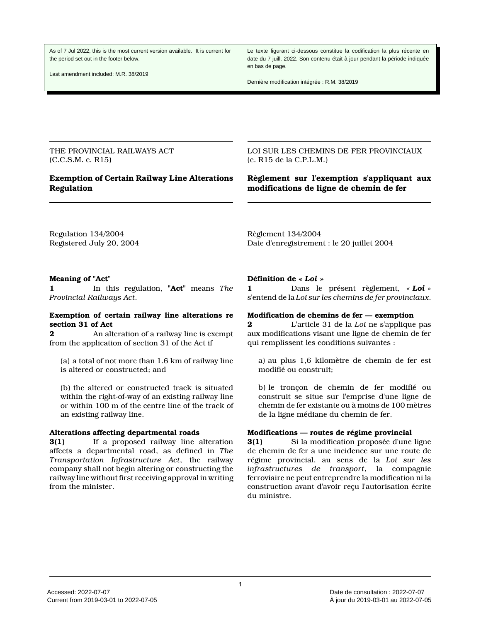As of 7 Jul 2022, this is the most current version available. It is current for the period set out in the footer below.

Last amendment included: M.R. 38/2019

Le texte figurant ci-dessous constitue la codification la plus récente en date du 7 juill. 2022. Son contenu était à jour pendant la période indiquée en bas de page.

Dernière modification intégrée : R.M. 38/2019

THE PROVINCIAL RAILWAYS ACT (C.C.S.M. c. R15)

# **Exemption of Certain Railway Line Alterations Regulation**

LOI SUR LES CHEMINS DE FER PROVINCIAUX (c. R15 de la C.P.L.M.)

## **Règlement sur l'exemption s'appliquant aux modifications de ligne de chemin de fer**

Regulation 134/2004 Registered July 20, 2004 Règlement 134/2004 Date d'enregistrement : le 20 juillet 2004

### **Meaning of "Act"**

**1** In this regulation, **"Act"** means *The Provincial Railways Act*.

## **Exemption of certain railway line alterations re section 31 of Act**

**2** An alteration of a railway line is exempt from the application of section 31 of the Act if

(a) a total of not more than 1.6 km of railway line is altered or constructed; and

(b) the altered or constructed track is situated within the right-of-way of an existing railway line or within 100 m of the centre line of the track of an existing railway line.

### **Alterations affecting departmental roads**

**3(1)** If a proposed railway line alteration affects a departmental road, as defined in *The Transportation Infrastructure Act*, the railway company shall not begin altering or constructing the railway line without first receiving approval in writing from the minister.

### **Définition de «** *Loi* **»**

**1** Dans le présent règlement, « *Loi* » s'entend de la *Loi sur les chemins de fer provinciaux*.

### **Modification de chemins de fer — exemption**

**2** L'article 31 de la *Loi* ne s'applique pas aux modifications visant une ligne de chemin de fer qui remplissent les conditions suivantes :

a) au plus 1,6 kilomètre de chemin de fer est modifié ou construit;

b) le tronçon de chemin de fer modifié ou construit se situe sur l'emprise d'une ligne de chemin de fer existante ou à moins de 100 mètres de la ligne médiane du chemin de fer.

#### **Modifications — routes de régime provincial**

**3(1)** Si la modification proposée d'une ligne de chemin de fer a une incidence sur une route de régime provincial, au sens de la *Loi sur les infrastructures de transport*, la compagnie ferroviaire ne peut entreprendre la modification ni la construction avant d'avoir reçu l'autorisation écrite du ministre.